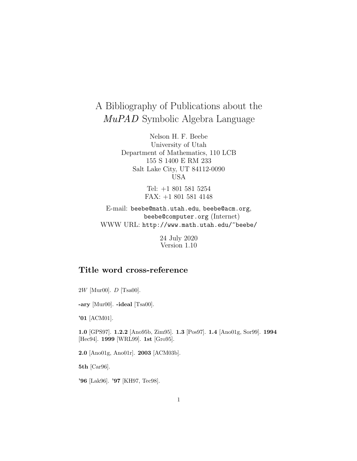# A Bibliography of Publications about the MuPAD Symbolic Algebra Language

Nelson H. F. Beebe University of Utah Department of Mathematics, 110 LCB 155 S 1400 E RM 233 Salt Lake City, UT 84112-0090 USA

> Tel: +1 801 581 5254 FAX: +1 801 581 4148

E-mail: beebe@math.utah.edu, beebe@acm.org, beebe@computer.org (Internet) WWW URL: http://www.math.utah.edu/~beebe/

> 24 July 2020 Version 1.10

## **Title word cross-reference**

2W [Mur00]. D [Tsa00].

**-ary** [Mur00]. **-ideal** [Tsa00].

**'01** [ACM01].

**1.0** [GPS97]. **1.2.2** [Ano95b, Zim95]. **1.3** [Pos97]. **1.4** [Ano01g, Sor99]. **1994** [Hec94]. **1999** [WRL99]. **1st** [Gro95].

**2.0** [Ano01g, Ano01r]. **2003** [ACM03b].

**5th** [Car96].

**'96** [Lak96]. **'97** [KH97, Tec98].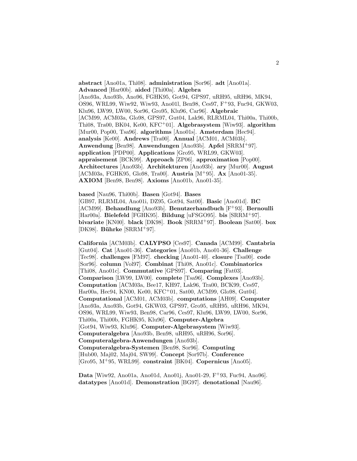**abstract** [Ano01a, Thi08]. **administration** [Sor96]. **adt** [Ano01a]. **Advanced** [Har00b]. **aided** [Thi00a]. **Algebra** [Ano93a, Ano93b, Ano96, FGHK95, Got94, GPS97, uRH95, uRH96, MK94, OS96, WRL99, Wiw92, Wiw93, Ano01l, Ben98, Ces97, F<sup>+</sup>93, Fuc94, GKW03, Klu96, LW99, LW00, Sor96, Gro95, Klu96, Car96]. **Algebraic** [ACM99, ACM03a, Glo98, GPS97, Gut04, Lak96, RLRML04, Thi00a, Thi00b, Thi08, Tra00, BK04, Ke00, KFC<sup>+</sup>01]. **Algebrasystem** [Wiw93]. **algorithm** [Mur00, Pop00, Tsa96]. **algorithms** [Ano01s]. **Amsterdam** [Hec94]. **analysis** [Ke00]. **Andrews** [Tra00]. **Annual** [ACM01, ACM03b]. **Anwendung** [Ben98]. **Anwendungen** [Ano93b]. **Apfel** [SRRM<sup>+</sup>97]. **application** [PDP00]. **Applications** [Gro95, WRL99, GKW03]. **appraisement** [BCK99]. **Approach** [ZP06]. **approximation** [Pop00]. **Architectures** [Ano93b]. **Architekturen** [Ano93b]. **ary** [Mur00]. **August** [ACM03a, FGHK95, Glo98, Tra00]. **Austria** [M<sup>+</sup>95]. **Ax** [Ano01-35]. **AXIOM** [Ben98, Ben98]. **Axioms** [Ano01b, Ano01-35].

**based** [Nau96, Thi00b]. **Basen** [Got94]. **Bases** [GB97, RLRML04, Ano01i, DZ95, Got94, Sat00]. **Basic** [Ano01d]. **BC** [ACM99]. **Behandlung** [Ano93b]. **Benutzerhandbuch** [F<sup>+</sup>93]. **Bernoulli** [Har00a]. **Bielefeld** [FGHK95]. **Bildung** [uFSGO95]. **bis** [SRRM<sup>+</sup>97]. **bivariate** [KN00]. **black** [DK98]. **Book** [SRRM<sup>+</sup>97]. **Boolean** [Sat00]. **box** [DK98]. **Bührke** [SRRM+97].

**California** [ACM03b]. **CALYPSO** [Ces97]. **Canada** [ACM99]. **Cantabria** [Gut04]. **Cat** [Ano01-36]. **Categories** [Ano01b, Ano01-36]. **Challenge** [Tec98]. **challenges** [FM97]. **checking** [Ano01-40]. **closure** [Tsa00]. **code** [Sor96]. **column** [Vol97]. **Combinat** [Thi08, Ano01c]. **Combinatorics** [Thi08, Ano01c]. **Commutative** [GPS97]. **Comparing** [Fat03]. **Comparison** [LW99, LW00]. **complete** [Tsa96]. **Complexes** [Ano93b]. **Computation** [ACM03a, Bee17, KH97, Lak96, Tra00, BCK99, Ces97, Har00a, Hec94, KN00, Ke00, KFC<sup>+</sup>01, Sat00, ACM99, Glo98, Gut04]. **Computational** [ACM01, ACM03b]. **computations** [AH09]. **Computer** [Ano93a, Ano93b, Got94, GKW03, GPS97, Gro95, uRH95, uRH96, MK94, OS96, WRL99, Wiw93, Ben98, Car96, Ces97, Klu96, LW99, LW00, Sor96, Thi00a, Thi00b, FGHK95, Klu96]. **Computer-Algebra** [Got94, Wiw93, Klu96]. **Computer-Algebrasystem** [Wiw93]. **Computeralgebra** [Ano93b, Ben98, uRH95, uRH96, Sor96]. **Computeralgebra-Anwendungen** [Ano93b]. **Computeralgebra-Systemen** [Ben98, Sor96]. **Computing** [Hub00, Maj02, Maj04, SW99]. **Concept** [Sor97b]. **Conference** [Gro95, M<sup>+</sup>95, WRL99]. **constraint** [BK04]. **Copernicus** [Ano05].

**Data** [Wiw92, Ano01a, Ano01d, Ano01j, Ano01-29, F<sup>+</sup>93, Fuc94, Ano96]. **datatypes** [Ano01d]. **Demonstration** [BG97]. **denotational** [Nau96].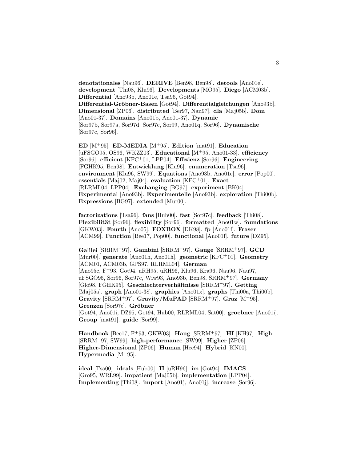**denotationales** [Nau96]. **DERIVE** [Ben98, Ben98]. **detools** [Ano01e]. **development** [Thi08, Klu96]. **Developments** [MO95]. **Diego** [ACM03b]. **Differential** [Ano93b, Ano01e, Tsa96, Got94]. **Differential-Gr¨obner-Basen** [Got94]. **Differentialgleichungen** [Ano93b]. **Dimensional** [ZP06]. **distributed** [Ber97, Nau97]. **dla** [Maj05b]. **Dom** [Ano01-37]. **Domains** [Ano01b, Ano01-37]. **Dynamic** [Sor97b, Sor97a, Sor97d, Sor97c, Sor99, Ano01q, Sor96]. **Dynamische** [Sor97c, Sor96].

**ED** [M<sup>+</sup>95]. **ED-MEDIA** [M<sup>+</sup>95]. **Edition** [mat91]. **Education** [uFSGO95, OS96, WKZZ03]. **Educational** [M<sup>+</sup>95, Ano01-33]. **efficiency** [Sor96]. **efficient** [KFC<sup>+</sup>01, LPP04]. **Effizienz** [Sor96]. **Engineering** [FGHK95, Ben98]. **Entwicklung** [Klu96]. **enumeration** [Tsa96]. **environment** [Klu96, SW99]. **Equations** [Ano93b, Ano01e]. **error** [Pop00]. **essentials** [Maj02, Maj04]. **evaluation** [KFC<sup>+</sup>01]. **Exact** [RLRML04, LPP04]. **Exchanging** [BG97]. **experiment** [BK04]. **Experimental** [Ano93b]. **Experimentelle** [Ano93b]. **exploration** [Thi00b]. **Expressions** [BG97]. **extended** [Mur00].

**factorizations** [Tsa96]. **fans** [Hub00]. **fast** [Sor97c]. **feedback** [Thi08]. **Flexibilit¨at** [Sor96]. **flexibility** [Sor96]. **formatted** [Ano01w]. **foundations** [GKW03]. **Fourth** [Ano05]. **FOXBOX** [DK98]. **fp** [Ano01f]. **Fraser** [ACM99]. **Function** [Bee17, Pop00]. **functional** [Ano01f]. **future** [DZ95].

**Galilei** [SRRM<sup>+</sup>97]. **Gambini** [SRRM<sup>+</sup>97]. **Gauge** [SRRM<sup>+</sup>97]. **GCD** [Mur00]. **generate** [Ano01h, Ano01h]. **geometric** [KFC<sup>+</sup>01]. **Geometry** [ACM01, ACM03b, GPS97, RLRML04]. **German** [Ano95c, F<sup>+</sup>93, Got94, uRH95, uRH96, Klu96, Kra96, Nau96, Nau97, uFSGO95, Sor96, Sor97c, Wiw93, Ano93b, Ben98, SRRM<sup>+</sup>97]. **Germany** [Glo98, FGHK95]. **Geschlechterverh¨altnisse** [SRRM<sup>+</sup>97]. **Getting** [Maj05a]. **graph** [Ano01-38]. **graphics** [Ano01x]. **graphs** [Thi00a, Thi00b]. **Gravity** [SRRM<sup>+</sup>97]. **Gravity/MuPAD** [SRRM<sup>+</sup>97]. **Graz** [M<sup>+</sup>95]. **Grenzen** [Sor97c]. **Gr¨obner** [Got94, Ano01i, DZ95, Got94, Hub00, RLRML04, Sat00]. **groebner** [Ano01i].

**Handbook** [Bee17, F<sup>+</sup>93, GKW03]. **Haug** [SRRM<sup>+</sup>97]. **HI** [KH97]. **High** [SRRM<sup>+</sup>97, SW99]. **high-performance** [SW99]. **Higher** [ZP06]. **Higher-Dimensional** [ZP06]. **Human** [Hec94]. **Hybrid** [KN00]. **Hypermedia** [ $M+95$ ].

**ideal** [Tsa00]. **ideals** [Hub00]. **II** [uRH96]. **im** [Got94]. **IMACS** [Gro95, WRL99]. **impatient** [Maj05b]. **implementation** [LPP04]. **Implementing** [Thi08]. **import** [Ano01j, Ano01j]. **increase** [Sor96].

**Group** [mat91]. **guide** [Sor99].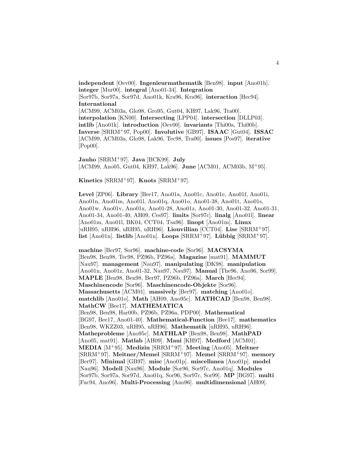**independent** [Oev00]. **Ingenieurmathematik** [Ben98]. **input** [Ano01h]. **integer** [Mur00]. **integral** [Ano01-34]. **Integration** [Sor97b, Sor97a, Sor97d, Ano01k, Kra96, Kra96]. **interaction** [Hec94]. **International** [ACM99, ACM03a, Glo98, Gro95, Gut04, KH97, Lak96, Tra00]. **interpolation** [KN00]. **Intersecting** [LPP04]. **intersection** [DLLP03]. **intlib** [Ano01k]. **introduction** [Oev00]. **invariants** [Thi00a, Thi00b]. **Inverse** [SRRM<sup>+</sup>97, Pop00]. **Involutive** [GB97]. **ISAAC** [Gut04]. **ISSAC** [ACM99, ACM03a, Glo98, Lak96, Tec98, Tra00]. **issues** [Pos97]. **iterative** [Pop00].

**Jauho** [SRRM<sup>+</sup>97]. **Java** [BCK99]. **July** [ACM99, Ano05, Gut04, KH97, Lak96]. **June** [ACM01, ACM03b, M<sup>+</sup>95].

**Kinetics** [SRRM<sup>+</sup>97]. **Knots** [SRRM<sup>+</sup>97].

**Level** [ZP06]. **Library** [Bee17, Ano01a, Ano01c, Ano01e, Ano01f, Ano01i, Ano01n, Ano01m, Ano01l, Ano01q, Ano01o, Ano01-38, Ano01t, Ano01s, Ano01w, Ano01v, Ano01x, Ano01-28, Ano01z, Ano01-30, Ano01-32, Ano01-31, Ano01-34, Ano01-40, AH09, Ces97]. **limits** [Sor97c]. **linalg** [Ano01l]. **linear** [Ano01m, Ano01l, BK04, CCT04, Tsa96]. **linopt** [Ano01m]. **Linux** [uRH95, uRH96, uRH95, uRH96]. **Liouvillian** [CCT04]. **Lise** [SRRM<sup>+</sup>97]. **list** [Ano01n]. **listlib** [Ano01n]. **Loops** [SRRM<sup>+</sup>97]. **L¨ubbig** [SRRM<sup>+</sup>97].

**machine** [Ber97, Sor96]. **machine-code** [Sor96]. **MACSYMA** [Ben98, Ben98, Tec98, PZ96b, PZ96a]. **Magazine** [mat91]. **MAMMUT** [Nau97]. **management** [Nau97]. **manipulating** [DK98]. **manipulation** [Ano01n, Ano01z, Ano01-32, Nau97, Nau97]. **Manual** [The96, Ano96, Sor99]. **MAPLE** [Ben98, Ben98, Ber97, PZ96b, PZ96a]. **March** [Hec94]. **Maschinencode** [Sor96]. **Maschinencode-Objekte** [Sor96]. **Massachusetts** [ACM01]. **massively** [Ber97]. **matching** [Ano01o]. **matchlib** [Ano01o]. **Math** [AH09, Ano95c]. **MATHCAD** [Ben98, Ben98]. **MathCW** [Bee17]. **MATHEMATICA** [Ben98, Ben98, Har00b, PZ96b, PZ96a, PDP00]. **Mathematical** [BG97, Bee17, Ano01-40]. **Mathematical-Function** [Bee17]. **mathematics** [Ben98, WKZZ03, uRH95, uRH96]. **Mathematik** [uRH95, uRH96]. **Matheprobleme** [Ano95c]. **MATHLAP** [Ben98, Ben98]. **MathPAD** [Ano05, mat91]. **Matlab** [AH09]. **Maui** [KH97]. **Medford** [ACM01]. **MEDIA** [M<sup>+</sup>95]. **Medizin** [SRRM<sup>+</sup>97]. **Meeting** [Ano05]. **Meitner** [SRRM<sup>+</sup>97]. **Meitner/Memel** [SRRM<sup>+</sup>97]. **Memel** [SRRM<sup>+</sup>97]. **memory** [Ber97]. **Minimal** [GB97]. **misc** [Ano01p]. **miscellanea** [Ano01p]. **model** [Nau96]. **Modell** [Nau96]. **Module** [Sor96, Sor97c, Ano01q]. **Modules** [Sor97b, Sor97a, Sor97d, Ano01q, Sor96, Sor97c, Sor99]. **MP** [BG97]. **multi** [Fuc94, Ano96]. **Multi-Processing** [Ano96]. **multidimensional** [AH09].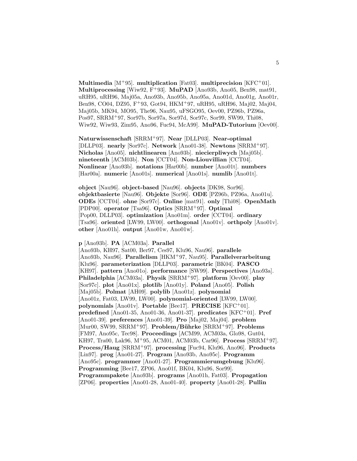**Multimedia** [M<sup>+</sup>95]. **multiplication** [Fat03]. **multiprecision** [KFC<sup>+</sup>01]. **Multiprocessing** [Wiw92, F<sup>+</sup>93]. **MuPAD** [Ano93b, Ano05, Ben98, mat91, uRH95, uRH96, Maj05a, Ano93b, Ano95b, Ano95a, Ano01d, Ano01g, Ano01r, Ben98, CO04, DZ95, F<sup>+</sup>93, Got94, HKM<sup>+</sup>97, uRH95, uRH96, Maj02, Maj04, Maj05b, MK94, MO95, The96, Nau95, uFSGO95, Oev00, PZ96b, PZ96a, Pos97, SRRM<sup>+</sup>97, Sor97b, Sor97a, Sor97d, Sor97c, Sor99, SW99, Thi08, Wiw92, Wiw93, Zim95, Ano96, Fuc94, McA99]. **MuPAD-Tutorium** [Oev00].

**Naturwissenschaft** [SRRM<sup>+</sup>97]. **Near** [DLLP03]. **Near-optimal** [DLLP03]. **nearly** [Sor97c]. **Network** [Ano01-38]. **Newtons** [SRRM<sup>+</sup>97]. **Nicholas** [Ano05]. **nichtlinearen** [Ano93b]. **niecierpliwych** [Maj05b]. **nineteenth** [ACM03b]. **Non** [CCT04]. **Non-Liouvillian** [CCT04]. **Nonlinear** [Ano93b]. **notations** [Har00b]. **number** [Ano01t]. **numbers** [Har00a]. **numeric** [Ano01s]. **numerical** [Ano01s]. **numlib** [Ano01t].

**object** [Nau96]. **object-based** [Nau96]. **objects** [DK98, Sor96]. **objektbasierte** [Nau96]. **Objekte** [Sor96]. **ODE** [PZ96b, PZ96a, Ano01u]. **ODEs** [CCT04]. **ohne** [Sor97c]. **Online** [mat91]. **only** [Thi08]. **OpenMath** [PDP00]. **operator** [Tsa96]. **Optics** [SRRM<sup>+</sup>97]. **Optimal** [Pop00, DLLP03]. **optimization** [Ano01m]. **order** [CCT04]. **ordinary** [Tsa96]. **oriented** [LW99, LW00]. **orthogonal** [Ano01v]. **orthpoly** [Ano01v]. **other** [Ano01h]. **output** [Ano01w, Ano01w].

#### **p** [Ano93b]. **PA** [ACM03a]. **Parallel**

[Ano93b, KH97, Sat00, Ber97, Ces97, Klu96, Nau96]. **parallele** [Ano93b, Nau96]. **Parallelism** [HKM<sup>+</sup>97, Nau95]. **Parallelverarbeitung** [Klu96]. **parameterization** [DLLP03]. **parametric** [BK04]. **PASCO** [KH97]. **pattern** [Ano01o]. **performance** [SW99]. **Perspectives** [Ano93a]. **Philadelphia** [ACM03a]. **Physik** [SRRM<sup>+</sup>97]. **platform** [Oev00]. **play** [Sor97c]. **plot** [Ano01x]. **plotlib** [Ano01y]. **Poland** [Ano05]. **Polish** [Maj05b]. **Polmat** [AH09]. **polylib** [Ano01z]. **polynomial** [Ano01z, Fat03, LW99, LW00]. **polynomial-oriented** [LW99, LW00]. **polynomials** [Ano01v]. **Portable** [Bee17]. **PRECISE** [KFC<sup>+</sup>01]. **predefined** [Ano01-35, Ano01-36, Ano01-37]. **predicates** [KFC<sup>+</sup>01]. **Pref** [Ano01-39]. **preferences** [Ano01-39]. **Pro** [Maj02, Maj04]. **problem** [Mur00, SW99, SRRM<sup>+</sup>97]. **Problem/B¨uhrke** [SRRM<sup>+</sup>97]. **Problems** [FM97, Ano95c, Tec98]. **Proceedings** [ACM99, ACM03a, Glo98, Gut04, KH97, Tra00, Lak96, M<sup>+</sup>95, ACM01, ACM03b, Car96]. **Process** [SRRM<sup>+</sup>97]. **Process/Haug** [SRRM<sup>+</sup>97]. **processing** [Fuc94, Klu96, Ano96]. **Products** [Lin97]. **prog** [Ano01-27]. **Program** [Ano93b, Ano95c]. **Programm** [Ano95c]. **programmer** [Ano01-27]. **Programmierumgebung** [Klu96]. **Programming** [Bee17, ZP06, Ano01f, BK04, Klu96, Sor99]. **Programmpakete** [Ano93b]. **programs** [Ano01h, Fat03]. **Propagation** [ZP06]. **properties** [Ano01-28, Ano01-40]. **property** [Ano01-28]. **Pullin**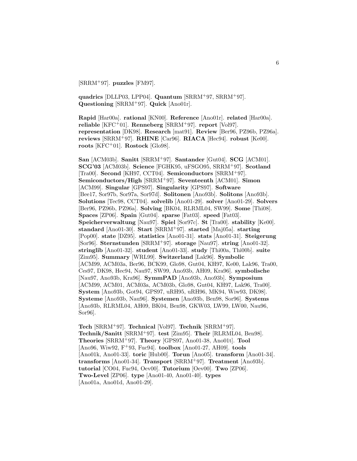[SRRM<sup>+</sup>97]. **puzzles** [FM97].

**quadrics** [DLLP03, LPP04]. **Quantum** [SRRM<sup>+</sup>97, SRRM<sup>+</sup>97]. **Questioning** [SRRM<sup>+</sup>97]. **Quick** [Ano01r].

**Rapid** [Har00a]. **rational** [KN00]. **Reference** [Ano01r]. **related** [Har00a]. **reliable** [KFC<sup>+</sup>01]. **Renneberg** [SRRM<sup>+</sup>97]. **report** [Vol97]. **representation** [DK98]. **Research** [mat91]. **Review** [Ber96, PZ96b, PZ96a]. **reviews** [SRRM<sup>+</sup>97]. **RHINE** [Car96]. **RIACA** [Hec94]. **robust** [Ke00]. **roots** [KFC<sup>+</sup>01]. **Rostock** [Glo98].

**San** [ACM03b]. **Sanitt** [SRRM<sup>+</sup>97]. **Santander** [Gut04]. **SCG** [ACM01]. **SCG'03** [ACM03b]. **Science** [FGHK95, uFSGO95, SRRM<sup>+</sup>97]. **Scotland** [Tra00]. **Second** [KH97, CCT04]. **Semiconductors** [SRRM<sup>+</sup>97]. **Semiconductors/High** [SRRM<sup>+</sup>97]. **Seventeenth** [ACM01]. **Simon** [ACM99]. **Singular** [GPS97]. **Singularity** [GPS97]. **Software** [Bee17, Sor97b, Sor97a, Sor97d]. **Solitonen** [Ano93b]. **Solitons** [Ano93b]. **Solutions** [Tec98, CCT04]. **solvelib** [Ano01-29]. **solver** [Ano01-29]. **Solvers** [Ber96, PZ96b, PZ96a]. **Solving** [BK04, RLRML04, SW99]. **Some** [Thi08]. **Spaces** [ZP06]. **Spain** [Gut04]. **sparse** [Fat03]. **speed** [Fat03]. **Speicherverwaltung** [Nau97]. **Spiel** [Sor97c]. **St** [Tra00]. **stability** [Ke00]. **standard** [Ano01-30]. **Start** [SRRM<sup>+</sup>97]. **started** [Maj05a]. **starting** [Pop00]. **state** [DZ95]. **statistics** [Ano01-31]. **stats** [Ano01-31]. **Steigerung** [Sor96]. **Sternstunden** [SRRM<sup>+</sup>97]. **storage** [Nau97]. **string** [Ano01-32]. **stringlib** [Ano01-32]. **student** [Ano01-33]. **study** [Thi00a, Thi00b]. **suite** [Zim95]. **Summary** [WRL99]. **Switzerland** [Lak96]. **Symbolic** [ACM99, ACM03a, Ber96, BCK99, Glo98, Gut04, KH97, Ke00, Lak96, Tra00, Ces97, DK98, Hec94, Nau97, SW99, Ano93b, AH09, Kra96]. **symbolische** [Nau97, Ano93b, Kra96]. **SymmPAD** [Ano93b, Ano93b]. **Symposium** [ACM99, ACM01, ACM03a, ACM03b, Glo98, Gut04, KH97, Lak96, Tra00]. **System** [Ano93b, Got94, GPS97, uRH95, uRH96, MK94, Wiw93, DK98]. **Systeme** [Ano93b, Nau96]. **Systemen** [Ano93b, Ben98, Sor96]. **Systems** [Ano93b, RLRML04, AH09, BK04, Ben98, GKW03, LW99, LW00, Nau96, Sor96].

**Tech** [SRRM<sup>+</sup>97]. **Technical** [Vol97]. **Technik** [SRRM<sup>+</sup>97]. **Technik/Sanitt** [SRRM<sup>+</sup>97]. **test** [Zim95]. **Their** [RLRML04, Ben98]. **Theories** [SRRM<sup>+</sup>97]. **Theory** [GPS97, Ano01-38, Ano01t]. **Tool** [Ano96, Wiw92, F<sup>+</sup>93, Fuc94]. **toolbox** [Ano01-27, AH09]. **tools** [Ano01k, Ano01-33]. **toric** [Hub00]. **Torun** [Ano05]. **transform** [Ano01-34]. **transforms** [Ano01-34]. **Transport** [SRRM<sup>+</sup>97]. **Treatment** [Ano93b]. **tutorial** [CO04, Fuc94, Oev00]. **Tutorium** [Oev00]. **Two** [ZP06]. **Two-Level** [ZP06]. **type** [Ano01-40, Ano01-40]. **types** [Ano01a, Ano01d, Ano01-29].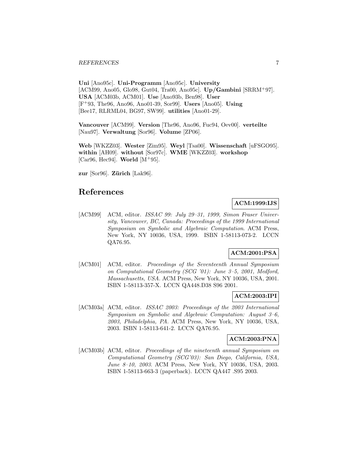**Uni** [Ano95c]. **Uni-Programm** [Ano95c]. **University** [ACM99, Ano05, Glo98, Gut04, Tra00, Ano95c]. **Up/Gambini** [SRRM<sup>+</sup>97]. **USA** [ACM03b, ACM01]. **Use** [Ano93b, Ben98]. **User** [F<sup>+</sup>93, The96, Ano96, Ano01-39, Sor99]. **Users** [Ano05]. **Using** [Bee17, RLRML04, BG97, SW99]. **utilities** [Ano01-29].

**Vancouver** [ACM99]. **Version** [The96, Ano96, Fuc94, Oev00]. **verteilte** [Nau97]. **Verwaltung** [Sor96]. **Volume** [ZP06].

**Web** [WKZZ03]. **Wester** [Zim95]. **Weyl** [Tsa00]. **Wissenschaft** [uFSGO95]. **within** [AH09]. **without** [Sor97c]. **WME** [WKZZ03]. **workshop** [Car96, Hec94]. **World** [M<sup>+</sup>95].

**zur** [Sor96]. **Zürich** [Lak96].

## **References**

## **ACM:1999:IJS**

[ACM99] ACM, editor. ISSAC 99: July 29-31, 1999, Simon Fraser University, Vancouver, BC, Canada: Proceedings of the 1999 International Symposium on Symbolic and Algebraic Computation. ACM Press, New York, NY 10036, USA, 1999. ISBN 1-58113-073-2. LCCN QA76.95.

## **ACM:2001:PSA**

[ACM01] ACM, editor. Proceedings of the Seventeenth Annual Symposium on Computational Geometry (SCG '01): June 3–5, 2001, Medford, Massachusetts, USA. ACM Press, New York, NY 10036, USA, 2001. ISBN 1-58113-357-X. LCCN QA448.D38 S96 2001.

## **ACM:2003:IPI**

[ACM03a] ACM, editor. ISSAC 2003: Proceedings of the 2003 International Symposium on Symbolic and Algebraic Computation: August 3–6, 2003, Philadelphia, PA. ACM Press, New York, NY 10036, USA, 2003. ISBN 1-58113-641-2. LCCN QA76.95.

## **ACM:2003:PNA**

[ACM03b] ACM, editor. Proceedings of the nineteenth annual Symposium on Computational Geometry (SCG'03): San Diego, California, USA, June 8–10, 2003. ACM Press, New York, NY 10036, USA, 2003. ISBN 1-58113-663-3 (paperback). LCCN QA447 .S95 2003.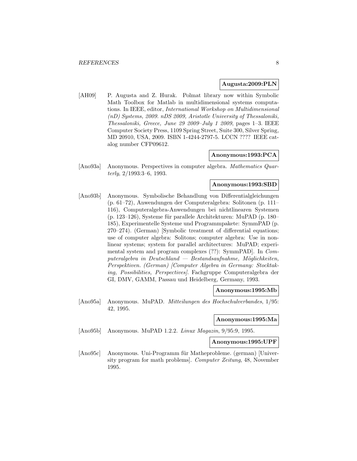#### **Augusta:2009:PLN**

[AH09] P. Augusta and Z. Hurak. Polmat library now within Symbolic Math Toolbox for Matlab in multidimensional systems computations. In IEEE, editor, International Workshop on Multidimensional (nD) Systems, 2009. nDS 2009, Aristotle University of Thessaloniki, Thessaloniki, Greece, June 29 2009–July 1 2009, pages 1–3. IEEE Computer Society Press, 1109 Spring Street, Suite 300, Silver Spring, MD 20910, USA, 2009. ISBN 1-4244-2797-5. LCCN ???? IEEE catalog number CFP09612.

## **Anonymous:1993:PCA**

[Ano93a] Anonymous. Perspectives in computer algebra. Mathematics Quarterly, 2/1993:3–6, 1993.

#### **Anonymous:1993:SBD**

[Ano93b] Anonymous. Symbolische Behandlung von Differentialgleichungen (p. 61–72), Anwendungen der Computeralgebra: Solitonen (p. 111– 116), Computeralgebra-Anwendungen bei nichtlinearen Systemen  $(p. 123-126)$ , Systeme für parallele Architekturen: MuPAD  $(p. 180-$ 185), Experimentelle Systeme und Programmpakete: SymmPAD (p. 270–274). (German) [Symbolic treatment of differential equations; use of computer algebra: Solitons; computer algebra: Use in nonlinear systems; system for parallel architectures: MuPAD; experimental system and program complexes (??): SymmPAD]. In Com $puteralgebra$  in  $Deutschland$   $Bestandsaufnahme$ ,  $Möglichkeiten$ , Perspektiven. (German) [Computer Algebra in Germany: Stocktaking, Possibilities, Perspectives]. Fachgruppe Computeralgebra der GI, DMV, GAMM, Passau und Heidelberg, Germany, 1993.

#### **Anonymous:1995:Mb**

[Ano95a] Anonymous. MuPAD. Mitteilungen des Hochschulverbandes, 1/95: 42, 1995.

#### **Anonymous:1995:Ma**

[Ano95b] Anonymous. MuPAD 1.2.2. Linux Magazin, 9/95:9, 1995.

**Anonymous:1995:UPF**

[Ano95c] Anonymous. Uni-Programm für Matheprobleme. (german) [University program for math problems]. Computer Zeitung, 48, November 1995.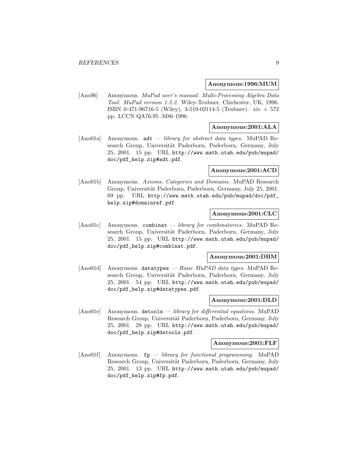#### **Anonymous:1996:MUM**

[Ano96] Anonymous. MuPad user's manual: Multi-Processing Algebra Data Tool: MuPad version 1.2.2. Wiley-Teubner, Chichester, UK, 1996. ISBN 0-471-96716-5 (Wiley), 3-519-02114-5 (Teubner). xiv + 572 pp. LCCN QA76.95 .M86 1996.

## **Anonymous:2001:ALA**

[Ano01a] Anonymous.  $adt - library$  for abstract data types. MuPAD Research Group, Universität Paderborn, Paderborn, Germany, July 25, 2001. 15 pp. URL http://www.math.utah.edu/pub/mupad/ doc/pdf\_help.zip#adt.pdf.

#### **Anonymous:2001:ACD**

[Ano01b] Anonymous. Axioms, Categories and Domains. MuPAD Research Group, Universität Paderborn, Paderborn, Germany, July 25, 2001. 69 pp. URL http://www.math.utah.edu/pub/mupad/doc/pdf\_ help.zip#domainref.pdf.

#### **Anonymous:2001:CLC**

 $[\text{Ano01c}]$  Anonymous. combinat — *library for combinatorics*. MuPAD Research Group, Universität Paderborn, Paderborn, Germany, July 25, 2001. 15 pp. URL http://www.math.utah.edu/pub/mupad/ doc/pdf\_help.zip#combinat.pdf.

#### **Anonymous:2001:DBM**

[Ano01d] Anonymous. datatypes - Basic MuPAD data types. MuPAD Research Group, Universität Paderborn, Paderborn, Germany, July 25, 2001. 54 pp. URL http://www.math.utah.edu/pub/mupad/ doc/pdf\_help.zip#datatypes.pdf.

#### **Anonymous:2001:DLD**

[Ano01e] Anonymous. detools — library for differential equations. MuPAD Research Group, Universität Paderborn, Paderborn, Germany, July 25, 2001. 28 pp. URL http://www.math.utah.edu/pub/mupad/ doc/pdf\_help.zip#detools.pdf.

#### **Anonymous:2001:FLF**

 $[Ano01f]$  Anonymous.  $fp$  – library for functional programming. MuPAD Research Group, Universität Paderborn, Paderborn, Germany, July 25, 2001. 13 pp. URL http://www.math.utah.edu/pub/mupad/ doc/pdf\_help.zip#fp.pdf.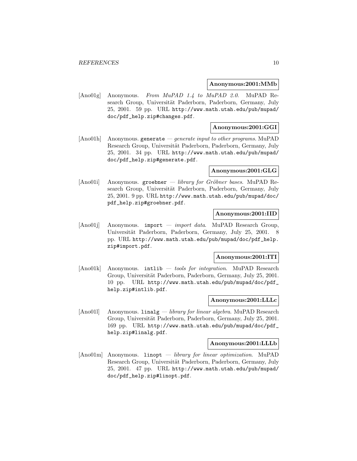#### **Anonymous:2001:MMb**

[Ano01g] Anonymous. From MuPAD 1.4 to MuPAD 2.0. MuPAD Research Group, Universität Paderborn, Paderborn, Germany, July 25, 2001. 59 pp. URL http://www.math.utah.edu/pub/mupad/ doc/pdf\_help.zip#changes.pdf.

#### **Anonymous:2001:GGI**

[Ano01h] Anonymous. generate — generate input to other programs. MuPAD Research Group, Universität Paderborn, Paderborn, Germany, July 25, 2001. 34 pp. URL http://www.math.utah.edu/pub/mupad/ doc/pdf\_help.zip#generate.pdf.

#### **Anonymous:2001:GLG**

 $[Ano01i]$  Anonymous. groebner — library for Gröbner bases. MuPAD Research Group, Universität Paderborn, Paderborn, Germany, July 25, 2001. 9 pp. URL http://www.math.utah.edu/pub/mupad/doc/ pdf\_help.zip#groebner.pdf.

## **Anonymous:2001:IID**

[Ano01] Anonymous. import — *import data*. MuPAD Research Group, Universität Paderborn, Paderborn, Germany, July 25, 2001. 8 pp. URL http://www.math.utah.edu/pub/mupad/doc/pdf\_help. zip#import.pdf.

#### **Anonymous:2001:ITI**

[Ano01k] Anonymous. intlib — tools for integration. MuPAD Research Group, Universität Paderborn, Paderborn, Germany, July 25, 2001. 10 pp. URL http://www.math.utah.edu/pub/mupad/doc/pdf\_ help.zip#intlib.pdf.

#### **Anonymous:2001:LLLc**

[Ano01]] Anonymous. linalg — *library for linear algebra*. MuPAD Research Group, Universität Paderborn, Paderborn, Germany, July 25, 2001. 169 pp. URL http://www.math.utah.edu/pub/mupad/doc/pdf\_ help.zip#linalg.pdf.

#### **Anonymous:2001:LLLb**

[Ano01m] Anonymous. linopt — library for linear optimization. MuPAD Research Group, Universität Paderborn, Paderborn, Germany, July 25, 2001. 47 pp. URL http://www.math.utah.edu/pub/mupad/ doc/pdf\_help.zip#linopt.pdf.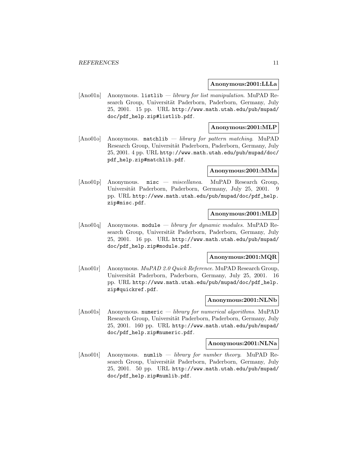#### **Anonymous:2001:LLLa**

 $[Ano01n]$  Anonymous. Listlib — library for list manipulation. MuPAD Research Group, Universität Paderborn, Paderborn, Germany, July 25, 2001. 15 pp. URL http://www.math.utah.edu/pub/mupad/ doc/pdf\_help.zip#listlib.pdf.

#### **Anonymous:2001:MLP**

[Ano01o] Anonymous. matchlib — library for pattern matching. MuPAD Research Group, Universität Paderborn, Paderborn, Germany, July 25, 2001. 4 pp. URL http://www.math.utah.edu/pub/mupad/doc/ pdf\_help.zip#matchlib.pdf.

#### **Anonymous:2001:MMa**

[Ano01p] Anonymous. misc — miscellanea. MuPAD Research Group, Universität Paderborn, Paderborn, Germany, July 25, 2001. 9 pp. URL http://www.math.utah.edu/pub/mupad/doc/pdf\_help. zip#misc.pdf.

## **Anonymous:2001:MLD**

[Ano01q] Anonymous. module  $-$  library for dynamic modules. MuPAD Research Group, Universität Paderborn, Paderborn, Germany, July 25, 2001. 16 pp. URL http://www.math.utah.edu/pub/mupad/ doc/pdf\_help.zip#module.pdf.

#### **Anonymous:2001:MQR**

[Ano01r] Anonymous. MuPAD 2.0 Quick Reference. MuPAD Research Group, Universität Paderborn, Paderborn, Germany, July 25, 2001. 16 pp. URL http://www.math.utah.edu/pub/mupad/doc/pdf\_help. zip#quickref.pdf.

#### **Anonymous:2001:NLNb**

[Ano01s] Anonymous. numeric — library for numerical algorithms. MuPAD Research Group, Universität Paderborn, Paderborn, Germany, July 25, 2001. 160 pp. URL http://www.math.utah.edu/pub/mupad/ doc/pdf\_help.zip#numeric.pdf.

#### **Anonymous:2001:NLNa**

[Ano01t] Anonymous. numlib — *library for number theory*. MuPAD Research Group, Universität Paderborn, Paderborn, Germany, July 25, 2001. 50 pp. URL http://www.math.utah.edu/pub/mupad/ doc/pdf\_help.zip#numlib.pdf.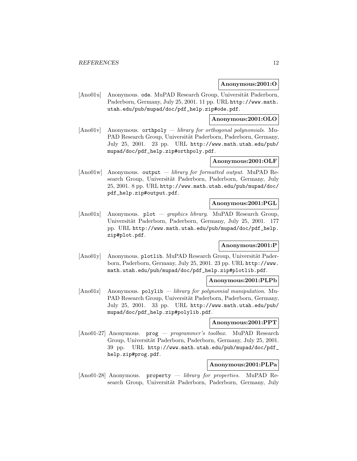#### **Anonymous:2001:O**

[Ano01u] Anonymous. ode. MuPAD Research Group, Universität Paderborn, Paderborn, Germany, July 25, 2001. 11 pp. URL http://www.math. utah.edu/pub/mupad/doc/pdf\_help.zip#ode.pdf.

## **Anonymous:2001:OLO**

 $[\text{Ano01v}]$  Anonymous. orthooly — *library for orthogonal polynomials.* Mu-PAD Research Group, Universität Paderborn, Paderborn, Germany, July 25, 2001. 23 pp. URL http://www.math.utah.edu/pub/ mupad/doc/pdf\_help.zip#orthpoly.pdf.

#### **Anonymous:2001:OLF**

[Ano01w] Anonymous. output — library for formatted output. MuPAD Research Group, Universität Paderborn, Paderborn, Germany, July 25, 2001. 8 pp. URL http://www.math.utah.edu/pub/mupad/doc/ pdf\_help.zip#output.pdf.

## **Anonymous:2001:PGL**

[Ano01x] Anonymous. plot — *graphics library*. MuPAD Research Group, Universität Paderborn, Paderborn, Germany, July 25, 2001. 177 pp. URL http://www.math.utah.edu/pub/mupad/doc/pdf\_help. zip#plot.pdf.

#### **Anonymous:2001:P**

[Ano01y] Anonymous. plotlib. MuPAD Research Group, Universität Paderborn, Paderborn, Germany, July 25, 2001. 23 pp. URL http://www. math.utah.edu/pub/mupad/doc/pdf\_help.zip#plotlib.pdf.

#### **Anonymous:2001:PLPb**

[Ano01z] Anonymous. polylib — library for polynomial manipulation. Mu-PAD Research Group, Universität Paderborn, Paderborn, Germany, July 25, 2001. 33 pp. URL http://www.math.utah.edu/pub/ mupad/doc/pdf\_help.zip#polylib.pdf.

#### **Anonymous:2001:PPT**

[Ano01-27] Anonymous. prog — programmer's toolbox. MuPAD Research Group, Universität Paderborn, Paderborn, Germany, July 25, 2001. 39 pp. URL http://www.math.utah.edu/pub/mupad/doc/pdf\_ help.zip#prog.pdf.

## **Anonymous:2001:PLPa**

[Ano01-28] Anonymous. property  $-$  library for properties. MuPAD Research Group, Universität Paderborn, Paderborn, Germany, July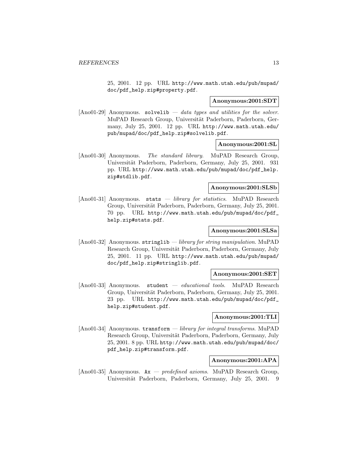25, 2001. 12 pp. URL http://www.math.utah.edu/pub/mupad/ doc/pdf\_help.zip#property.pdf.

#### **Anonymous:2001:SDT**

[Ano01-29] Anonymous. solvelib — data types and utilities for the solver. MuPAD Research Group, Universität Paderborn, Paderborn, Germany, July 25, 2001. 12 pp. URL http://www.math.utah.edu/ pub/mupad/doc/pdf\_help.zip#solvelib.pdf.

#### **Anonymous:2001:SL**

[Ano01-30] Anonymous. The standard library. MuPAD Research Group, Universität Paderborn, Paderborn, Germany, July 25, 2001. 931 pp. URL http://www.math.utah.edu/pub/mupad/doc/pdf\_help. zip#stdlib.pdf.

#### **Anonymous:2001:SLSb**

[Ano01-31] Anonymous. stats — library for statistics. MuPAD Research Group, Universität Paderborn, Paderborn, Germany, July 25, 2001. 70 pp. URL http://www.math.utah.edu/pub/mupad/doc/pdf\_ help.zip#stats.pdf.

## **Anonymous:2001:SLSa**

[Ano01-32] Anonymous. stringlib — library for string manipulation. MuPAD Research Group, Universität Paderborn, Paderborn, Germany, July 25, 2001. 11 pp. URL http://www.math.utah.edu/pub/mupad/ doc/pdf\_help.zip#stringlib.pdf.

#### **Anonymous:2001:SET**

[Ano01-33] Anonymous. student — educational tools. MuPAD Research Group, Universität Paderborn, Paderborn, Germany, July 25, 2001. 23 pp. URL http://www.math.utah.edu/pub/mupad/doc/pdf\_ help.zip#student.pdf.

## **Anonymous:2001:TLI**

[Ano01-34] Anonymous. transform — library for integral transforms. MuPAD Research Group, Universität Paderborn, Paderborn, Germany, July 25, 2001. 8 pp. URL http://www.math.utah.edu/pub/mupad/doc/ pdf\_help.zip#transform.pdf.

## **Anonymous:2001:APA**

[Ano01-35] Anonymous.  $Ax$  – predefined axioms. MuPAD Research Group, Universität Paderborn, Paderborn, Germany, July 25, 2001. 9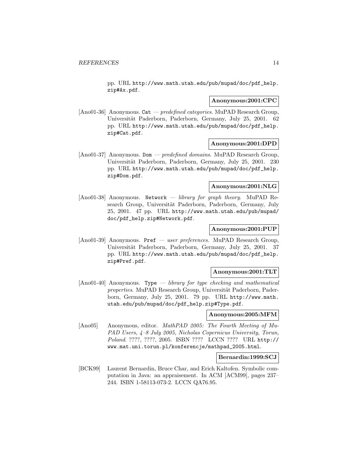pp. URL http://www.math.utah.edu/pub/mupad/doc/pdf\_help. zip#Ax.pdf.

#### **Anonymous:2001:CPC**

[Ano01-36] Anonymous. Cat — predefined categories. MuPAD Research Group, Universität Paderborn, Paderborn, Germany, July 25, 2001. 62 pp. URL http://www.math.utah.edu/pub/mupad/doc/pdf\_help. zip#Cat.pdf.

#### **Anonymous:2001:DPD**

[Ano01-37] Anonymous. Dom — predefined domains. MuPAD Research Group, Universität Paderborn, Paderborn, Germany, July 25, 2001. 230 pp. URL http://www.math.utah.edu/pub/mupad/doc/pdf\_help. zip#Dom.pdf.

#### **Anonymous:2001:NLG**

[Ano01-38] Anonymous. Network — library for graph theory. MuPAD Research Group, Universität Paderborn, Paderborn, Germany, July 25, 2001. 47 pp. URL http://www.math.utah.edu/pub/mupad/ doc/pdf\_help.zip#Network.pdf.

#### **Anonymous:2001:PUP**

[Ano01-39] Anonymous. Pref — user preferences. MuPAD Research Group, Universität Paderborn, Paderborn, Germany, July 25, 2001. 37 pp. URL http://www.math.utah.edu/pub/mupad/doc/pdf\_help. zip#Pref.pdf.

## **Anonymous:2001:TLT**

 $[Ano01-40]$  Anonymous. Type — library for type checking and mathematical properties. MuPAD Research Group, Universität Paderborn, Paderborn, Germany, July 25, 2001. 79 pp. URL http://www.math. utah.edu/pub/mupad/doc/pdf\_help.zip#Type.pdf.

#### **Anonymous:2005:MFM**

[Ano05] Anonymous, editor. MathPAD 2005: The Fourth Meeting of Mu-PAD Users, 4–8 July 2005, Nicholas Copernicus University, Torun, Poland. ????, ????, 2005. ISBN ???? LCCN ???? URL http:// www.mat.uni.torun.pl/konferencje/mathpad\_2005.html.

## **Bernardin:1999:SCJ**

[BCK99] Laurent Bernardin, Bruce Char, and Erich Kaltofen. Symbolic computation in Java: an appraisement. In ACM [ACM99], pages 237– 244. ISBN 1-58113-073-2. LCCN QA76.95.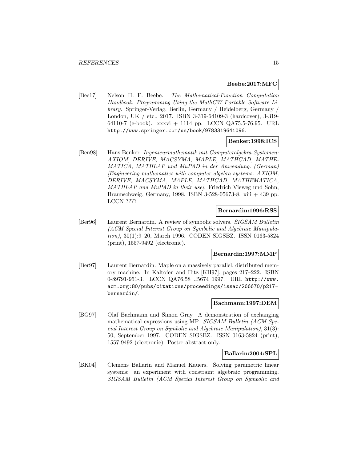#### **Beebe:2017:MFC**

[Bee17] Nelson H. F. Beebe. The Mathematical-Function Computation Handbook: Programming Using the MathCW Portable Software Library. Springer-Verlag, Berlin, Germany / Heidelberg, Germany / London, UK / etc., 2017. ISBN 3-319-64109-3 (hardcover), 3-319- 64110-7 (e-book). xxxvi + 1114 pp. LCCN QA75.5-76.95. URL http://www.springer.com/us/book/9783319641096.

#### **Benker:1998:ICS**

[Ben98] Hans Benker. Ingenieurmathematik mit Computeralgebra-Systemen: AXIOM, DERIVE, MACSYMA, MAPLE, MATHCAD, MATHE-MATICA, MATHLAP und MuPAD in der Anwendung. (German) [Engineering mathematics with computer algebra systems: AXIOM, DERIVE, MACSYMA, MAPLE, MATHCAD, MATHEMATICA, MATHLAP and MuPAD in their use]. Friedrich Vieweg und Sohn, Braunschweig, Germany, 1998. ISBN 3-528-05673-8. xiii + 439 pp. LCCN ????

## **Bernardin:1996:RSS**

[Ber96] Laurent Bernardin. A review of symbolic solvers. SIGSAM Bulletin (ACM Special Interest Group on Symbolic and Algebraic Manipulation), 30(1):9–20, March 1996. CODEN SIGSBZ. ISSN 0163-5824 (print), 1557-9492 (electronic).

#### **Bernardin:1997:MMP**

[Ber97] Laurent Bernardin. Maple on a massively parallel, distributed memory machine. In Kaltofen and Hitz [KH97], pages 217–222. ISBN 0-89791-951-3. LCCN QA76.58 .I5674 1997. URL http://www. acm.org:80/pubs/citations/proceedings/issac/266670/p217 bernardin/.

#### **Bachmann:1997:DEM**

[BG97] Olaf Bachmann and Simon Gray. A demonstration of exchanging mathematical expressions using MP. SIGSAM Bulletin (ACM Special Interest Group on Symbolic and Algebraic Manipulation), 31(3): 50, September 1997. CODEN SIGSBZ. ISSN 0163-5824 (print), 1557-9492 (electronic). Poster abstract only.

#### **Ballarin:2004:SPL**

[BK04] Clemens Ballarin and Manuel Kauers. Solving parametric linear systems: an experiment with constraint algebraic programming. SIGSAM Bulletin (ACM Special Interest Group on Symbolic and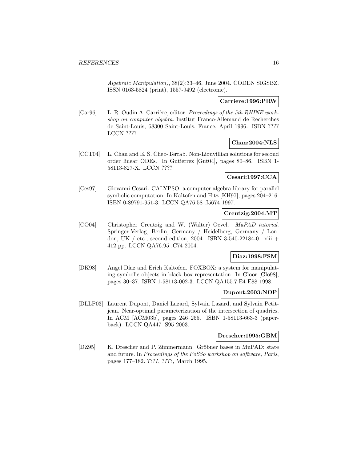Algebraic Manipulation), 38(2):33–46, June 2004. CODEN SIGSBZ. ISSN 0163-5824 (print), 1557-9492 (electronic).

## **Carriere:1996:PRW**

[Car96] L. R. Oudin A. Carrière, editor. Proceedings of the 5th RHINE workshop on computer algebra. Institut Franco-Allemand de Recherches de Saint-Louis, 68300 Saint-Louis, France, April 1996. ISBN ???? LCCN ????

## **Chan:2004:NLS**

[CCT04] L. Chan and E. S. Cheb-Terrab. Non-Liouvillian solutions for second order linear ODEs. In Gutierrez [Gut04], pages 80–86. ISBN 1- 58113-827-X. LCCN ????

## **Cesari:1997:CCA**

[Ces97] Giovanni Cesari. CALYPSO: a computer algebra library for parallel symbolic computation. In Kaltofen and Hitz [KH97], pages 204–216. ISBN 0-89791-951-3. LCCN QA76.58 .I5674 1997.

## **Creutzig:2004:MT**

[CO04] Christopher Creutzig and W. (Walter) Oevel. MuPAD tutorial. Springer-Verlag, Berlin, Germany / Heidelberg, Germany / London, UK / etc., second edition, 2004. ISBN 3-540-22184-0. xiii + 412 pp. LCCN QA76.95 .C74 2004.

## **Diaz:1998:FSM**

[DK98] Angel Díaz and Erich Kaltofen. FOXBOX: a system for manipulating symbolic objects in black box representation. In Gloor [Glo98], pages 30–37. ISBN 1-58113-002-3. LCCN QA155.7.E4 E88 1998.

## **Dupont:2003:NOP**

[DLLP03] Laurent Dupont, Daniel Lazard, Sylvain Lazard, and Sylvain Petitjean. Near-optimal parameterization of the intersection of quadrics. In ACM [ACM03b], pages 246–255. ISBN 1-58113-663-3 (paperback). LCCN QA447 .S95 2003.

## **Drescher:1995:GBM**

[DZ95] K. Drescher and P. Zimmermann. Gröbner bases in MuPAD: state and future. In Proceedings of the PoSSo workshop on software, Paris, pages 177–182. ????, ????, March 1995.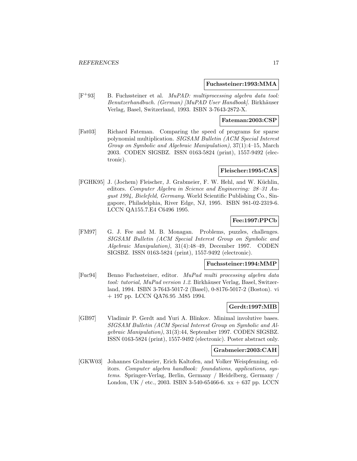#### **Fuchssteiner:1993:MMA**

[F<sup>+</sup>93] B. Fuchssteiner et al. MuPAD: multiprocessing algebra data tool: Benutzerhandbuch. (German) [MuPAD User Handbook]. Birkhäuser Verlag, Basel, Switzerland, 1993. ISBN 3-7643-2872-X.

#### **Fateman:2003:CSP**

[Fat03] Richard Fateman. Comparing the speed of programs for sparse polynomial multiplication. SIGSAM Bulletin (ACM Special Interest Group on Symbolic and Algebraic Manipulation), 37(1):4–15, March 2003. CODEN SIGSBZ. ISSN 0163-5824 (print), 1557-9492 (electronic).

#### **Fleischer:1995:CAS**

[FGHK95] J. (Jochem) Fleischer, J. Grabmeier, F. W. Hehl, and W. Küchlin, editors. Computer Algebra in Science and Engineering: 28–31 August 1994, Bielefeld, Germany. World Scientific Publishing Co., Singapore, Philadelphia, River Edge, NJ, 1995. ISBN 981-02-2319-6. LCCN QA155.7.E4 C6496 1995.

## **Fee:1997:PPCb**

[FM97] G. J. Fee and M. B. Monagan. Problems, puzzles, challenges. SIGSAM Bulletin (ACM Special Interest Group on Symbolic and Algebraic Manipulation), 31(4):48–49, December 1997. CODEN SIGSBZ. ISSN 0163-5824 (print), 1557-9492 (electronic).

#### **Fuchssteiner:1994:MMP**

[Fuc94] Benno Fuchssteiner, editor. MuPad multi processing algebra data tool: tutorial, MuPad version 1.2. Birkhäuser Verlag, Basel, Switzerland, 1994. ISBN 3-7643-5017-2 (Basel), 0-8176-5017-2 (Boston). vi + 197 pp. LCCN QA76.95 .M85 1994.

## **Gerdt:1997:MIB**

[GB97] Vladimir P. Gerdt and Yuri A. Blinkov. Minimal involutive bases. SIGSAM Bulletin (ACM Special Interest Group on Symbolic and Algebraic Manipulation), 31(3):44, September 1997. CODEN SIGSBZ. ISSN 0163-5824 (print), 1557-9492 (electronic). Poster abstract only.

#### **Grabmeier:2003:CAH**

[GKW03] Johannes Grabmeier, Erich Kaltofen, and Volker Weispfenning, editors. Computer algebra handbook: foundations, applications, systems. Springer-Verlag, Berlin, Germany / Heidelberg, Germany / London, UK / etc., 2003. ISBN 3-540-65466-6.  $xx + 637$  pp. LCCN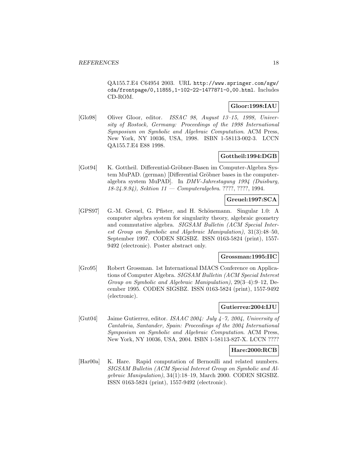QA155.7.E4 C64954 2003. URL http://www.springer.com/sgw/ cda/frontpage/0,11855,1-102-22-1477871-0,00.html. Includes CD-ROM.

## **Gloor:1998:IAU**

[Glo98] Oliver Gloor, editor. ISSAC 98, August 13–15, 1998, University of Rostock, Germany: Proceedings of the 1998 International Symposium on Symbolic and Algebraic Computation. ACM Press, New York, NY 10036, USA, 1998. ISBN 1-58113-002-3. LCCN QA155.7.E4 E88 1998.

## **Gottheil:1994:DGB**

[Got94] K. Gottheil. Differential-Gröbner-Basen im Computer-Algebra System MuPAD. (german) [Differential Gröbner bases in the computeralgebra system MuPAD]. In DMV-Jahrestagung 1994 (Duisburg, 18-24.9.94), Sektion 11 — Computeralgebra. ????, ????, 1994.

## **Greuel:1997:SCA**

[GPS97] G.-M. Greuel, G. Pfister, and H. Schönemann. Singular 1.0: A computer algebra system for singularity theory, algebraic geometry and commutative algebra. SIGSAM Bulletin (ACM Special Interest Group on Symbolic and Algebraic Manipulation), 31(3):48–50, September 1997. CODEN SIGSBZ. ISSN 0163-5824 (print), 1557- 9492 (electronic). Poster abstract only.

#### **Grossman:1995:IIC**

[Gro95] Robert Grossman. 1st International IMACS Conference on Applications of Computer Algebra. SIGSAM Bulletin (ACM Special Interest Group on Symbolic and Algebraic Manipulation), 29(3–4):9–12, December 1995. CODEN SIGSBZ. ISSN 0163-5824 (print), 1557-9492 (electronic).

#### **Gutierrez:2004:IJU**

[Gut04] Jaime Gutierrez, editor. ISAAC 2004: July 4–7, 2004, University of Cantabria, Santander, Spain: Proceedings of the 2004 International Symposium on Symbolic and Algebraic Computation. ACM Press, New York, NY 10036, USA, 2004. ISBN 1-58113-827-X. LCCN ????

#### **Hare:2000:RCB**

[Har00a] K. Hare. Rapid computation of Bernoulli and related numbers. SIGSAM Bulletin (ACM Special Interest Group on Symbolic and Algebraic Manipulation), 34(1):18–19, March 2000. CODEN SIGSBZ. ISSN 0163-5824 (print), 1557-9492 (electronic).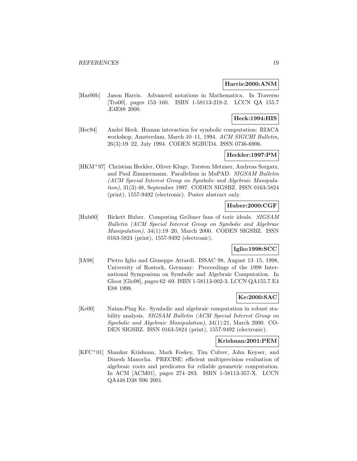#### **Harris:2000:ANM**

[Har00b] Jason Harris. Advanced notations in Mathematica. In Traverso [Tra00], pages 153–160. ISBN 1-58113-218-2. LCCN QA 155.7 .E4E88 2000.

## **Heck:1994:HIS**

[Hec94] André Heck. Human interaction for symbolic computation: RIACA workshop, Amsterdam, March 10–11, 1994. ACM SIGCHI Bulletin, 26(3):19–22, July 1994. CODEN SGBUD4. ISSN 0736-6906.

## **Heckler:1997:PM**

[HKM<sup>+</sup>97] Christian Heckler, Oliver Kluge, Torsten Metzner, Andreas Sorgatz, and Paul Zimmermann. Parallelism in MuPAD. SIGSAM Bulletin (ACM Special Interest Group on Symbolic and Algebraic Manipulation), 31(3):48, September 1997. CODEN SIGSBZ. ISSN 0163-5824 (print), 1557-9492 (electronic). Poster abstract only.

## **Huber:2000:CGF**

[Hub00] Birkett Huber. Computing Gröbner fans of toric ideals. SIGSAM Bulletin (ACM Special Interest Group on Symbolic and Algebraic Manipulation), 34(1):19–20, March 2000. CODEN SIGSBZ. ISSN 0163-5824 (print), 1557-9492 (electronic).

## **Iglio:1998:SCC**

[IA98] Pietro Iglio and Giuseppe Attardi. ISSAC 98, August 13–15, 1998, University of Rostock, Germany: Proceedings of the 1998 International Symposium on Symbolic and Algebraic Computation. In Gloor [Glo98], pages 62–69. ISBN 1-58113-002-3. LCCN QA155.7.E4 E88 1998.

## **Ke:2000:SAC**

[Ke00] Nainn-Ping Ke. Symbolic and algebraic computation in robust stability analysis. SIGSAM Bulletin (ACM Special Interest Group on Symbolic and Algebraic Manipulation), 34(1):21, March 2000. CO-DEN SIGSBZ. ISSN 0163-5824 (print), 1557-9492 (electronic).

#### **Krishnan:2001:PEM**

[KFC<sup>+</sup>01] Shankar Krishnan, Mark Foskey, Tim Culver, John Keyser, and Dinesh Manocha. PRECISE: efficient multiprecision evaluation of algebraic roots and predicates for reliable geometric computation. In ACM [ACM01], pages 274–283. ISBN 1-58113-357-X. LCCN QA448.D38 S96 2001.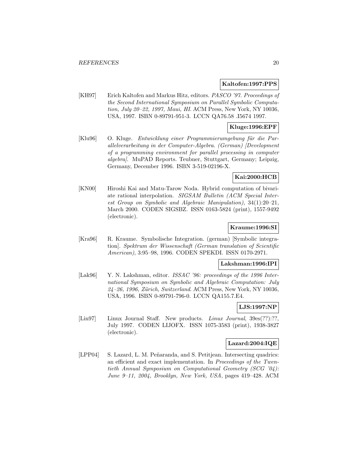#### **Kaltofen:1997:PPS**

[KH97] Erich Kaltofen and Markus Hitz, editors. PASCO '97. Proceedings of the Second International Symposium on Parallel Symbolic Computation, July 20–22, 1997, Maui, HI. ACM Press, New York, NY 10036, USA, 1997. ISBN 0-89791-951-3. LCCN QA76.58 .I5674 1997.

## **Kluge:1996:EPF**

[Klu96] O. Kluge. Entwicklung einer Programmierumgebung für die Parallelverarbeitung in der Computer-Algebra. (German) [Development of a programming environment for parallel processing in computer algebra]. MuPAD Reports. Teubner, Stuttgart, Germany; Leipzig, Germany, December 1996. ISBN 3-519-02196-X.

## **Kai:2000:HCB**

[KN00] Hiroshi Kai and Matu-Tarow Noda. Hybrid computation of bivariate rational interpolation. SIGSAM Bulletin (ACM Special Interest Group on Symbolic and Algebraic Manipulation), 34(1):20–21, March 2000. CODEN SIGSBZ. ISSN 0163-5824 (print), 1557-9492 (electronic).

## **Kraume:1996:SI**

[Kra96] R. Kraume. Symbolische Integration. (german) [Symbolic integration]. Spektrum der Wissenschaft (German translation of Scientific American), 3:95–98, 1996. CODEN SPEKDI. ISSN 0170-2971.

#### **Lakshman:1996:IPI**

[Lak96] Y. N. Lakshman, editor. ISSAC '96: proceedings of the 1996 International Symposium on Symbolic and Algebraic Computation: July  $24-26$ , 1996, Zürich, Switzerland. ACM Press, New York, NY 10036, USA, 1996. ISBN 0-89791-796-0. LCCN QA155.7.E4.

## **LJS:1997:NP**

[Lin97] Linux Journal Staff. New products. Linux Journal, 39es(??):??, July 1997. CODEN LIJOFX. ISSN 1075-3583 (print), 1938-3827 (electronic).

#### **Lazard:2004:IQE**

[LPP04] S. Lazard, L. M. Peñaranda, and S. Petitjean. Intersecting quadrics: an efficient and exact implementation. In Proceedings of the Twentieth Annual Symposium on Computational Geometry (SCG '04): June 9–11, 2004, Brooklyn, New York, USA, pages 419–428. ACM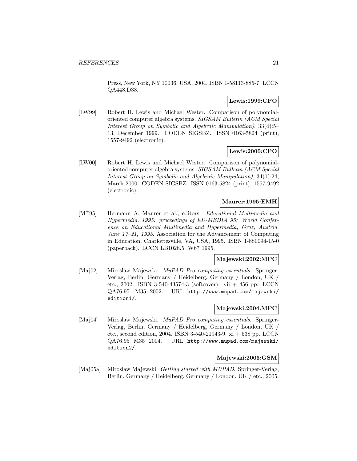Press, New York, NY 10036, USA, 2004. ISBN 1-58113-885-7. LCCN QA448.D38.

## **Lewis:1999:CPO**

[LW99] Robert H. Lewis and Michael Wester. Comparison of polynomialoriented computer algebra systems. SIGSAM Bulletin (ACM Special Interest Group on Symbolic and Algebraic Manipulation), 33(4):5– 13, December 1999. CODEN SIGSBZ. ISSN 0163-5824 (print), 1557-9492 (electronic).

## **Lewis:2000:CPO**

[LW00] Robert H. Lewis and Michael Wester. Comparison of polynomialoriented computer algebra systems. SIGSAM Bulletin (ACM Special Interest Group on Symbolic and Algebraic Manipulation), 34(1):24, March 2000. CODEN SIGSBZ. ISSN 0163-5824 (print), 1557-9492 (electronic).

## **Maurer:1995:EMH**

[M<sup>+</sup>95] Hermann A. Maurer et al., editors. Educational Multimedia and Hypermedia, 1995: proceedings of ED-MEDIA 95: World Conference on Educational Multimedia and Hypermedia, Graz, Austria, June 17–21, 1995. Association for the Advancement of Computing in Education, Charlottesville, VA, USA, 1995. ISBN 1-880094-15-0 (paperback). LCCN LB1028.5 .W67 1995.

## **Majewski:2002:MPC**

[Maj02] Miroslaw Majewski. MuPAD Pro computing essentials. Springer-Verlag, Berlin, Germany / Heidelberg, Germany / London, UK / etc., 2002. ISBN 3-540-43574-3 (softcover). vii  $+ 456$  pp. LCCN QA76.95 .M35 2002. URL http://www.mupad.com/majewski/ edition1/.

## **Majewski:2004:MPC**

[Maj04] Miroslaw Majewski. MuPAD Pro computing essentials. Springer-Verlag, Berlin, Germany / Heidelberg, Germany / London, UK / etc., second edition, 2004. ISBN 3-540-21943-9. xi + 538 pp. LCCN QA76.95 M35 2004. URL http://www.mupad.com/majewski/ edition2/.

#### **Majewski:2005:GSM**

[Maj05a] Miroslaw Majewski. Getting started with MUPAD. Springer-Verlag, Berlin, Germany / Heidelberg, Germany / London, UK / etc., 2005.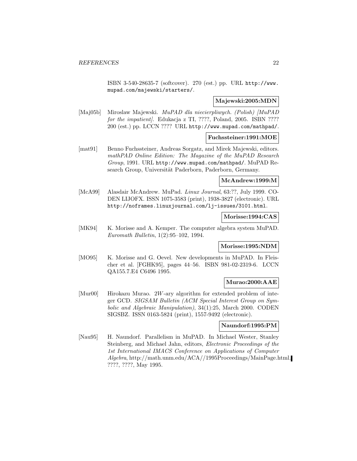ISBN 3-540-28635-7 (softcover). 270 (est.) pp. URL http://www. mupad.com/majewski/starters/.

## **Majewski:2005:MDN**

[Maj05b] Miroslaw Majewski. MuPAD dla niecierpliwych. (Polish) [MuPAD for the impatient. Edukacja z TI, ????, Poland, 2005. ISBN ???? 200 (est.) pp. LCCN ???? URL http://www.mupad.com/mathpad/.

## **Fuchssteiner:1991:MOE**

[mat91] Benno Fuchssteiner, Andreas Sorgatz, and Mirek Majewski, editors. mathPAD Online Edition: The Magazine of the MuPAD Research Group, 1991. URL http://www.mupad.com/mathpad/. MuPAD Research Group, Universität Paderborn, Paderborn, Germany.

#### **McAndrew:1999:M**

[McA99] Alasdair McAndrew. MuPad. Linux Journal, 63:??, July 1999. CO-DEN LIJOFX. ISSN 1075-3583 (print), 1938-3827 (electronic). URL http://noframes.linuxjournal.com/lj-issues/3101.html.

## **Morisse:1994:CAS**

[MK94] K. Morisse and A. Kemper. The computer algebra system MuPAD. Euromath Bulletin, 1(2):95–102, 1994.

## **Morisse:1995:NDM**

[MO95] K. Morisse and G. Oevel. New developments in MuPAD. In Fleischer et al. [FGHK95], pages 44–56. ISBN 981-02-2319-6. LCCN QA155.7.E4 C6496 1995.

#### **Murao:2000:AAE**

[Mur00] Hirokazu Murao. 2W-ary algorithm for extended problem of integer GCD. SIGSAM Bulletin (ACM Special Interest Group on Symbolic and Algebraic Manipulation), 34(1):25, March 2000. CODEN SIGSBZ. ISSN 0163-5824 (print), 1557-9492 (electronic).

## **Naundorf:1995:PM**

[Nau95] H. Naundorf. Parallelism in MuPAD. In Michael Wester, Stanley Steinberg, and Michael Jahn, editors, Electronic Proceedings of the 1st International IMACS Conference on Applications of Computer Algebra, http://math.unm.edu/ACA//1995Proceedings/MainPage.html. ????, ????, May 1995.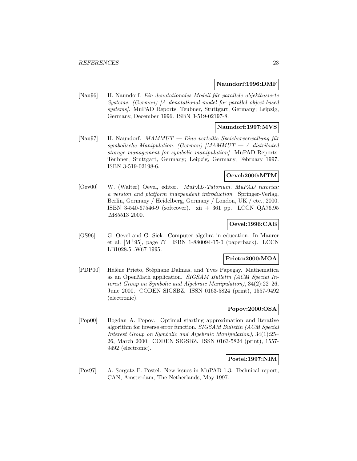#### **Naundorf:1996:DMF**

[Nau96] H. Naundorf. Ein denotationales Modell für parallele objektbasierte Systeme. (German) [A denotational model for parallel object-based systems). MuPAD Reports. Teubner, Stuttgart, Germany; Leipzig, Germany, December 1996. ISBN 3-519-02197-8.

#### **Naundorf:1997:MVS**

[Nau97] H. Naundorf.  $MAMMUT$  — Eine verteilte Speicherverwaltung für symbolische Manipulation. (German) [MAMMUT — A distributed storage management for symbolic manipulation]. MuPAD Reports. Teubner, Stuttgart, Germany; Leipzig, Germany, February 1997. ISBN 3-519-02198-6.

## **Oevel:2000:MTM**

[Oev00] W. (Walter) Oevel, editor. MuPAD-Tutorium. MuPAD tutorial: a version and platform independent introduction. Springer-Verlag, Berlin, Germany / Heidelberg, Germany / London, UK / etc., 2000. ISBN 3-540-67546-9 (softcover). xii + 361 pp. LCCN QA76.95 .M85513 2000.

## **Oevel:1996:CAE**

[OS96] G. Oevel and G. Siek. Computer algebra in education. In Maurer et al. [M<sup>+</sup>95], page ?? ISBN 1-880094-15-0 (paperback). LCCN LB1028.5 .W67 1995.

#### **Prieto:2000:MOA**

[PDP00] Hélène Prieto, Stéphane Dalmas, and Yves Papegay. Mathematica as an OpenMath application. SIGSAM Bulletin (ACM Special Interest Group on Symbolic and Algebraic Manipulation), 34(2):22–26, June 2000. CODEN SIGSBZ. ISSN 0163-5824 (print), 1557-9492 (electronic).

## **Popov:2000:OSA**

[Pop00] Bogdan A. Popov. Optimal starting approximation and iterative algorithm for inverse error function. SIGSAM Bulletin (ACM Special Interest Group on Symbolic and Algebraic Manipulation), 34(1):25– 26, March 2000. CODEN SIGSBZ. ISSN 0163-5824 (print), 1557- 9492 (electronic).

#### **Postel:1997:NIM**

[Pos97] A. Sorgatz F. Postel. New issues in MuPAD 1.3. Technical report, CAN, Amsterdam, The Netherlands, May 1997.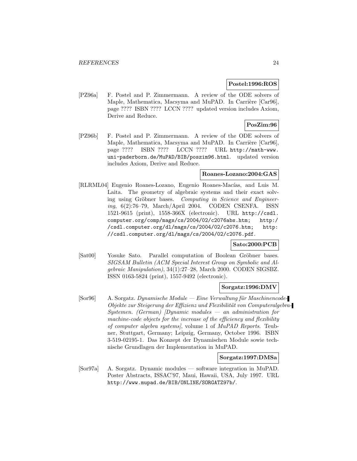#### **Postel:1996:ROS**

[PZ96a] F. Postel and P. Zimmermann. A review of the ODE solvers of Maple, Mathematica, Macsyma and MuPAD. In Carrière [Car96], page ???? ISBN ???? LCCN ???? updated version includes Axiom, Derive and Reduce.

## **PosZim:96**

[PZ96b] F. Postel and P. Zimmermann. A review of the ODE solvers of Maple, Mathematica, Macsyma and MuPAD. In Carrière [Car96], page ???? ISBN ???? LCCN ???? URL http://math-www. uni-paderborn.de/MuPAD/BIB/poszim96.html. updated version includes Axiom, Derive and Reduce.

## **Roanes-Lozano:2004:GAS**

[RLRML04] Eugenio Roanes-Lozano, Eugenio Roanes-Macías, and Luis M. Laita. The geometry of algebraic systems and their exact solving using Gröbner bases. Computing in Science and Engineering, 6(2):76–79, March/April 2004. CODEN CSENFA. ISSN 1521-9615 (print), 1558-366X (electronic). URL http://csdl. computer.org/comp/mags/cs/2004/02/c2076abs.htm; http:/ /csdl.computer.org/dl/mags/cs/2004/02/c2076.htm; http: //csdl.computer.org/dl/mags/cs/2004/02/c2076.pdf.

#### **Sato:2000:PCB**

[Sat00] Yosuke Sato. Parallel computation of Boolean Gröbner bases. SIGSAM Bulletin (ACM Special Interest Group on Symbolic and Algebraic Manipulation), 34(1):27–28, March 2000. CODEN SIGSBZ. ISSN 0163-5824 (print), 1557-9492 (electronic).

#### **Sorgatz:1996:DMV**

 $[Sor96]$  A. Sorgatz. Dynamische Module — Eine Verwaltung für Maschinencode-Objekte zur Steigerung der Effizienz und Flexibilität von Computeralgebra- $Systemen.$  (German) [Dynamic modules  $-$  an administration for machine-code objects for the increase of the efficiency and flexibility of computer algebra systems], volume 1 of MuPAD Reports. Teubner, Stuttgart, Germany; Leipzig, Germany, October 1996. ISBN 3-519-02195-1. Das Konzept der Dynamischen Module sowie technische Grundlagen der Implementation in MuPAD.

#### **Sorgatz:1997:DMSa**

[Sor97a] A. Sorgatz. Dynamic modules — software integration in MuPAD. Poster Abstracts, ISSAC'97, Maui, Hawaii, USA, July 1997. URL http://www.mupad.de/BIB/ONLINE/SORGATZ97b/.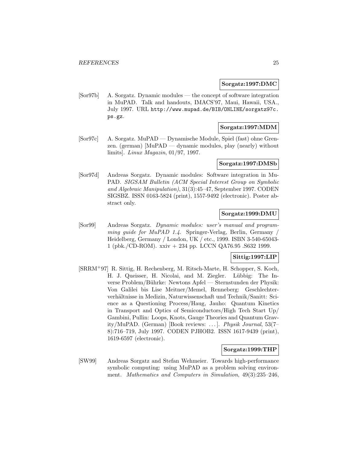#### **Sorgatz:1997:DMC**

[Sor97b] A. Sorgatz. Dynamic modules — the concept of software integration in MuPAD. Talk and handouts, IMACS'97, Maui, Hawaii, USA., July 1997. URL http://www.mupad.de/BIB/ONLINE/sorgatz97c. ps.gz.

## **Sorgatz:1997:MDM**

[Sor97c] A. Sorgatz. MuPAD — Dynamische Module, Spiel (fast) ohne Grenzen. (german) [MuPAD — dynamic modules, play (nearly) without limits]. Linux Magazin, 01/97, 1997.

#### **Sorgatz:1997:DMSb**

[Sor97d] Andreas Sorgatz. Dynamic modules: Software integration in Mu-PAD. SIGSAM Bulletin (ACM Special Interest Group on Symbolic and Algebraic Manipulation), 31(3):45–47, September 1997. CODEN SIGSBZ. ISSN 0163-5824 (print), 1557-9492 (electronic). Poster abstract only.

#### **Sorgatz:1999:DMU**

[Sor99] Andreas Sorgatz. Dynamic modules: user's manual and programming guide for  $MuPAD$  1.4. Springer-Verlag, Berlin, Germany Heidelberg, Germany / London, UK / etc., 1999. ISBN 3-540-65043- 1 (pbk./CD-ROM). xxiv + 234 pp. LCCN QA76.95 .S632 1999.

## **Sittig:1997:LIP**

[SRRM<sup>+</sup>97] R. Sittig, H. Rechenberg, M. Ritsch-Marte, H. Schopper, S. Koch, H. J. Queisser, H. Nicolai, and M. Ziegler. Lübbig: The Inverse Problem/Bührke: Newtons Apfel — Sternstunden der Physik: Von Galilei bis Lise Meitner/Memel, Renneberg: Geschlechterverhältnisse in Medizin, Naturwissenschaft und Technik/Sanitt: Science as a Questioning Process/Haug, Jauho: Quantum Kinetics in Transport and Optics of Semiconductors/High Tech Start Up/ Gambini, Pullin: Loops, Knots, Gauge Theories and Quantum Gravity/MuPAD. (German) [Book reviews: ... ]. Physik Journal, 53(7– 8):716–719, July 1997. CODEN PJHOB2. ISSN 1617-9439 (print), 1619-6597 (electronic).

#### **Sorgatz:1999:THP**

[SW99] Andreas Sorgatz and Stefan Wehmeier. Towards high-performance symbolic computing: using MuPAD as a problem solving environment. Mathematics and Computers in Simulation, 49(3):235–246,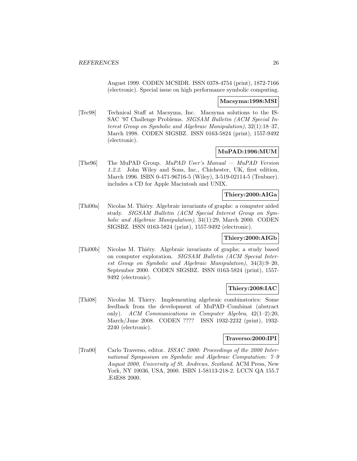August 1999. CODEN MCSIDR. ISSN 0378-4754 (print), 1872-7166 (electronic). Special issue on high performance symbolic computing.

#### **Macsyma:1998:MSI**

[Tec98] Technical Staff at Macsyma, Inc. Macsyma solutions to the IS-SAC '97 Challenge Problems. SIGSAM Bulletin (ACM Special Interest Group on Symbolic and Algebraic Manipulation), 32(1):18–37, March 1998. CODEN SIGSBZ. ISSN 0163-5824 (print), 1557-9492 (electronic).

## **MuPAD:1996:MUM**

[The96] The MuPAD Group.  $MuPAD$  User's Manual — MuPAD Version 1.2.2. John Wiley and Sons, Inc., Chichester, UK, first edition, March 1996. ISBN 0-471-96716-5 (Wiley), 3-519-02114-5 (Teubner). includes a CD for Apple Macintosh and UNIX.

## **Thiery:2000:AIGa**

[Thi00a] Nicolas M. Thi´ery. Algebraic invariants of graphs: a computer aided study. SIGSAM Bulletin (ACM Special Interest Group on Symbolic and Algebraic Manipulation), 34(1):29, March 2000. CODEN SIGSBZ. ISSN 0163-5824 (print), 1557-9492 (electronic).

#### **Thiery:2000:AIGb**

[Thi00b] Nicolas M. Thiéry. Algebraic invariants of graphs; a study based on computer exploration. SIGSAM Bulletin (ACM Special Interest Group on Symbolic and Algebraic Manipulation), 34(3):9–20, September 2000. CODEN SIGSBZ. ISSN 0163-5824 (print), 1557- 9492 (electronic).

## **Thiery:2008:IAC**

[Thi08] Nicolas M. Thiery. Implementing algebraic combinatorics: Some feedback from the development of MuPAD–Combinat (abstract only). ACM Communications in Computer Algebra, 42(1–2):20, March/June 2008. CODEN ???? ISSN 1932-2232 (print), 1932- 2240 (electronic).

## **Traverso:2000:IPI**

[Tra00] Carlo Traverso, editor. ISSAC 2000: Proceedings of the 2000 International Symposium on Symbolic and Algebraic Computation: 7–9 August 2000, University of St. Andrews, Scotland. ACM Press, New York, NY 10036, USA, 2000. ISBN 1-58113-218-2. LCCN QA 155.7 .E4E88 2000.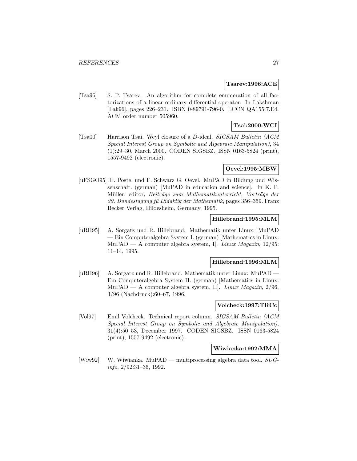#### **Tsarev:1996:ACE**

[Tsa96] S. P. Tsarev. An algorithm for complete enumeration of all factorizations of a linear ordinary differential operator. In Lakshman [Lak96], pages 226–231. ISBN 0-89791-796-0. LCCN QA155.7.E4. ACM order number 505960.

## **Tsai:2000:WCI**

[Tsa00] Harrison Tsai. Weyl closure of a D-ideal. SIGSAM Bulletin (ACM Special Interest Group on Symbolic and Algebraic Manipulation), 34 (1):29–30, March 2000. CODEN SIGSBZ. ISSN 0163-5824 (print), 1557-9492 (electronic).

## **Oevel:1995:MBW**

[uFSGO95] F. Postel und F. Schwarz G. Oevel. MuPAD in Bildung und Wissenschaft. (german) [MuPAD in education and science]. In K. P. Müller, editor, Beiträge zum Mathematikunterricht, Vorträge der  $29.$  Bundestagung fü Didaktik der Mathematik, pages 356–359. Franz Becker Verlag, Hildesheim, Germany, 1995.

## **Hillebrand:1995:MLM**

[uRH95] A. Sorgatz und R. Hillebrand. Mathematik unter Linux: MuPAD — Ein Computeralgebra System I. (german) [Mathematics in Linux: MuPAD — A computer algebra system, I. Linux Magazin,  $12/95$ : 11–14, 1995.

## **Hillebrand:1996:MLM**

[uRH96] A. Sorgatz und R. Hillebrand. Mathematik unter Linux: MuPAD — Ein Computeralgebra System II. (german) [Mathematics in Linux: MuPAD — A computer algebra system, II. Linux Magazin,  $2/96$ , 3/96 (Nachdruck):60–67, 1996.

#### **Volcheck:1997:TRCc**

[Vol97] Emil Volcheck. Technical report column. SIGSAM Bulletin (ACM Special Interest Group on Symbolic and Algebraic Manipulation), 31(4):50–53, December 1997. CODEN SIGSBZ. ISSN 0163-5824 (print), 1557-9492 (electronic).

#### **Wiwianka:1992:MMA**

[Wiw92] W. Wiwianka. MuPAD — multiprocessing algebra data tool.  $SUG$ info, 2/92:31–36, 1992.